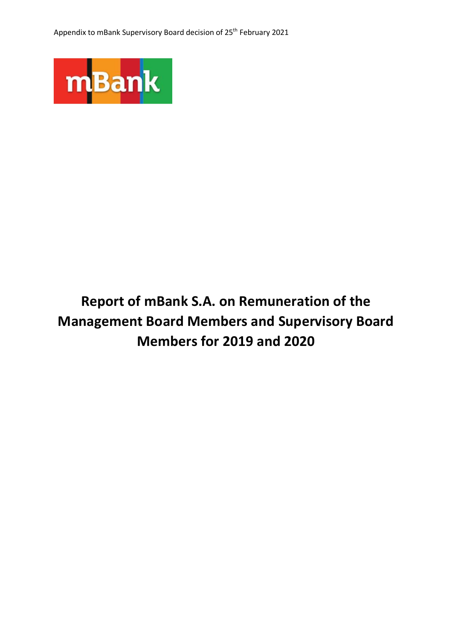

# **Report of mBank S.A. on Remuneration of the Management Board Members and Supervisory Board Members for 2019 and 2020**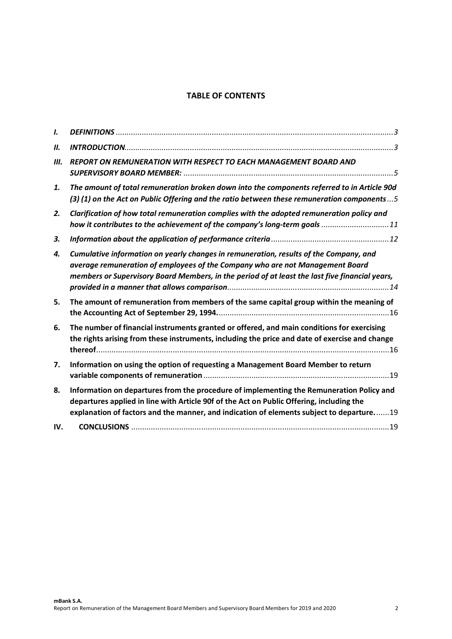# **TABLE OF CONTENTS**

| $\mathbf{L}$ |                                                                                                                                                                                                                                                                                  |
|--------------|----------------------------------------------------------------------------------------------------------------------------------------------------------------------------------------------------------------------------------------------------------------------------------|
| Ш.           |                                                                                                                                                                                                                                                                                  |
| Ш.           | REPORT ON REMUNERATION WITH RESPECT TO EACH MANAGEMENT BOARD AND                                                                                                                                                                                                                 |
| 1.           | The amount of total remuneration broken down into the components referred to in Article 90d<br>(3) (1) on the Act on Public Offering and the ratio between these remuneration components5                                                                                        |
| 2.           | Clarification of how total remuneration complies with the adopted remuneration policy and<br>how it contributes to the achievement of the company's long-term goals 11                                                                                                           |
| 3.           |                                                                                                                                                                                                                                                                                  |
| 4.           | Cumulative information on yearly changes in remuneration, results of the Company, and<br>average remuneration of employees of the Company who are not Management Board<br>members or Supervisory Board Members, in the period of at least the last five financial years,         |
| 5.           | The amount of remuneration from members of the same capital group within the meaning of                                                                                                                                                                                          |
| 6.           | The number of financial instruments granted or offered, and main conditions for exercising<br>the rights arising from these instruments, including the price and date of exercise and change                                                                                     |
| 7.           | Information on using the option of requesting a Management Board Member to return                                                                                                                                                                                                |
| 8.           | Information on departures from the procedure of implementing the Remuneration Policy and<br>departures applied in line with Article 90f of the Act on Public Offering, including the<br>explanation of factors and the manner, and indication of elements subject to departure19 |
| IV.          |                                                                                                                                                                                                                                                                                  |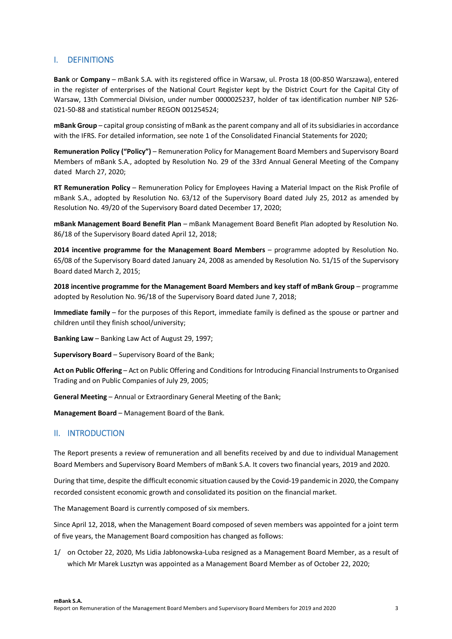# **I. DEFINITIONS**

**Bank** or **Company** – mBank S.A. with its registered office in Warsaw, ul. Prosta 18 (00-850 Warszawa), entered in the register of enterprises of the National Court Register kept by the District Court for the Capital City of Warsaw, 13th Commercial Division, under number 0000025237, holder of tax identification number NIP 526- 021-50-88 and statistical number REGON 001254524;

**mBank Group** – capital group consisting of mBank as the parent company and all of its subsidiaries in accordance with the IFRS. For detailed information, see note 1 of the Consolidated Financial Statements for 2020;

**Remuneration Policy ("Policy")** – Remuneration Policy for Management Board Members and Supervisory Board Members of mBank S.A., adopted by Resolution No. 29 of the 33rd Annual General Meeting of the Company dated March 27, 2020;

**RT Remuneration Policy** – Remuneration Policy for Employees Having a Material Impact on the Risk Profile of mBank S.A., adopted by Resolution No. 63/12 of the Supervisory Board dated July 25, 2012 as amended by Resolution No. 49/20 of the Supervisory Board dated December 17, 2020;

**mBank Management Board Benefit Plan** – mBank Management Board Benefit Plan adopted by Resolution No. 86/18 of the Supervisory Board dated April 12, 2018;

**2014 incentive programme for the Management Board Members** – programme adopted by Resolution No. 65/08 of the Supervisory Board dated January 24, 2008 as amended by Resolution No. 51/15 of the Supervisory Board dated March 2, 2015;

**2018 incentive programme for the Management Board Members and key staff of mBank Group – programme** adopted by Resolution No. 96/18 of the Supervisory Board dated June 7, 2018;

**Immediate family** – for the purposes of this Report, immediate family is defined as the spouse or partner and children until they finish school/university;

**Banking Law** – Banking Law Act of August 29, 1997;

**Supervisory Board** – Supervisory Board of the Bank;

**Act on Public Offering** – Act on Public Offering and Conditions for Introducing Financial Instruments to Organised Trading and on Public Companies of July 29, 2005;

**General Meeting** – Annual or Extraordinary General Meeting of the Bank;

**Management Board** – Management Board of the Bank.

### **II. INTRODUCTION**

The Report presents a review of remuneration and all benefits received by and due to individual Management Board Members and Supervisory Board Members of mBank S.A. It covers two financial years, 2019 and 2020.

During that time, despite the difficult economic situation caused by the Covid-19 pandemic in 2020, the Company recorded consistent economic growth and consolidated its position on the financial market.

The Management Board is currently composed of six members.

Since April 12, 2018, when the Management Board composed of seven members was appointed for a joint term of five years, the Management Board composition has changed as follows:

1/ on October 22, 2020, Ms Lidia Jabłonowska-Luba resigned as a Management Board Member, as a result of which Mr Marek Lusztyn was appointed as a Management Board Member as of October 22, 2020;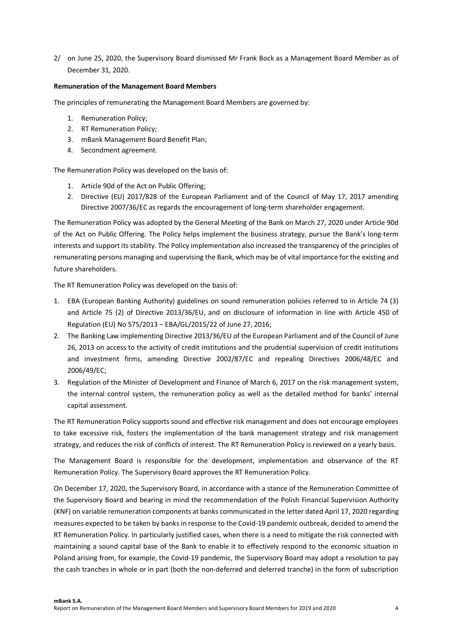2/ on June 25, 2020, the Supervisory Board dismissed Mr Frank Bock as a Management Board Member as of December 31, 2020.

### **Remuneration of the Management Board Members**

The principles of remunerating the Management Board Members are governed by:

- 1. Remuneration Policy;
- 2. RT Remuneration Policy;
- 3. mBank Management Board Benefit Plan;
- 4. Secondment agreement.

The Remuneration Policy was developed on the basis of:

- 1. Article 90d of the Act on Public Offering;
- 2. Directive (EU) 2017/828 of the European Parliament and of the Council of May 17, 2017 amending Directive 2007/36/EC as regards the encouragement of long-term shareholder engagement.

The Remuneration Policy was adopted by the General Meeting of the Bank on March 27, 2020 under Article 90d of the Act on Public Offering. The Policy helps implement the business strategy, pursue the Bank's long-term interests and support its stability. The Policy implementation also increased the transparency of the principles of remunerating persons managing and supervising the Bank, which may be of vital importance for the existing and future shareholders.

The RT Remuneration Policy was developed on the basis of:

- 1. EBA (European Banking Authority) guidelines on sound remuneration policies referred to in Article 74 (3) and Article 75 (2) of Directive 2013/36/EU, and on disclosure of information in line with Article 450 of Regulation (EU) No 575/2013 – EBA/GL/2015/22 of June 27, 2016;
- 2. The Banking Law implementing Directive 2013/36/EU of the European Parliament and of the Council of June 26, 2013 on access to the activity of credit institutions and the prudential supervision of credit institutions and investment firms, amending Directive 2002/87/EC and repealing Directives 2006/48/EC and 2006/49/EC;
- 3. Regulation of the Minister of Development and Finance of March 6, 2017 on the risk management system, the internal control system, the remuneration policy as well as the detailed method for banks' internal capital assessment.

The RT Remuneration Policy supports sound and effective risk management and does not encourage employees to take excessive risk, fosters the implementation of the bank management strategy and risk management strategy, and reduces the risk of conflicts of interest. The RT Remuneration Policy is reviewed on a yearly basis.

The Management Board is responsible for the development, implementation and observance of the RT Remuneration Policy. The Supervisory Board approves the RT Remuneration Policy.

On December 17, 2020, the Supervisory Board, in accordance with a stance of the Remuneration Committee of the Supervisory Board and bearing in mind the recommendation of the Polish Financial Supervision Authority (KNF) on variable remuneration components at banks communicated in the letter dated April 17, 2020 regarding measures expected to be taken by banks in response to the Covid-19 pandemic outbreak, decided to amend the RT Remuneration Policy. In particularly justified cases, when there is a need to mitigate the risk connected with maintaining a sound capital base of the Bank to enable it to effectively respond to the economic situation in Poland arising from, for example, the Covid-19 pandemic, the Supervisory Board may adopt a resolution to pay the cash tranches in whole or in part (both the non-deferred and deferred tranche) in the form of subscription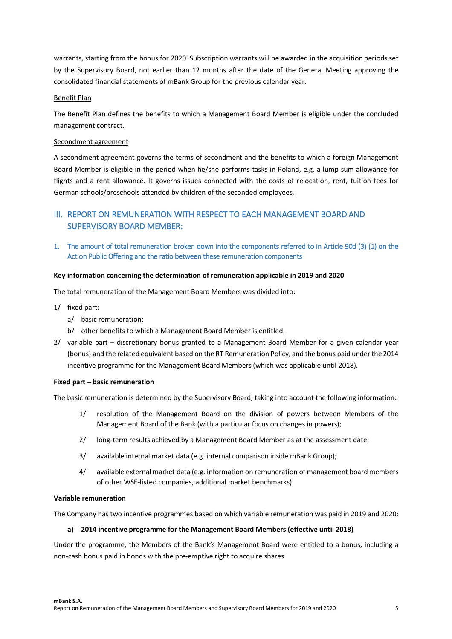warrants, starting from the bonus for 2020. Subscription warrants will be awarded in the acquisition periods set by the Supervisory Board, not earlier than 12 months after the date of the General Meeting approving the consolidated financial statements of mBank Group for the previous calendar year.

### Benefit Plan

The Benefit Plan defines the benefits to which a Management Board Member is eligible under the concluded management contract.

### Secondment agreement

A secondment agreement governs the terms of secondment and the benefits to which a foreign Management Board Member is eligible in the period when he/she performs tasks in Poland, e.g. a lump sum allowance for flights and a rent allowance. It governs issues connected with the costs of relocation, rent, tuition fees for German schools/preschools attended by children of the seconded employees.

# **III. REPORT ON REMUNERATION WITH RESPECT TO EACH MANAGEMENT BOARD AND SUPERVISORY BOARD MEMBER:**

**1. The amount of total remuneration broken down into the components referred to in Article 90d (3) (1) on the Act on Public Offering and the ratio between these remuneration components** 

### **Key information concerning the determination of remuneration applicable in 2019 and 2020**

The total remuneration of the Management Board Members was divided into:

- 1/ fixed part:
	- a/ basic remuneration;
	- b/ other benefits to which a Management Board Member is entitled,
- 2/ variable part discretionary bonus granted to a Management Board Member for a given calendar year (bonus) and the related equivalent based on the RT Remuneration Policy, and the bonus paid under the 2014 incentive programme for the Management Board Members (which was applicable until 2018).

### **Fixed part – basic remuneration**

The basic remuneration is determined by the Supervisory Board, taking into account the following information:

- 1/ resolution of the Management Board on the division of powers between Members of the Management Board of the Bank (with a particular focus on changes in powers);
- 2/ long-term results achieved by a Management Board Member as at the assessment date;
- 3/ available internal market data (e.g. internal comparison inside mBank Group);
- 4/ available external market data (e.g. information on remuneration of management board members of other WSE-listed companies, additional market benchmarks).

### **Variable remuneration**

The Company has two incentive programmes based on which variable remuneration was paid in 2019 and 2020:

### **a) 2014 incentive programme for the Management Board Members (effective until 2018)**

Under the programme, the Members of the Bank's Management Board were entitled to a bonus, including a non-cash bonus paid in bonds with the pre-emptive right to acquire shares.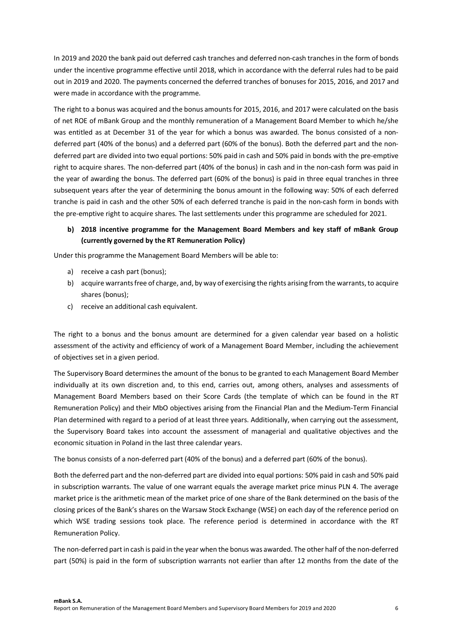In 2019 and 2020 the bank paid out deferred cash tranches and deferred non-cash tranches in the form of bonds under the incentive programme effective until 2018, which in accordance with the deferral rules had to be paid out in 2019 and 2020. The payments concerned the deferred tranches of bonuses for 2015, 2016, and 2017 and were made in accordance with the programme.

The right to a bonus was acquired and the bonus amounts for 2015, 2016, and 2017 were calculated on the basis of net ROE of mBank Group and the monthly remuneration of a Management Board Member to which he/she was entitled as at December 31 of the year for which a bonus was awarded. The bonus consisted of a nondeferred part (40% of the bonus) and a deferred part (60% of the bonus). Both the deferred part and the nondeferred part are divided into two equal portions: 50% paid in cash and 50% paid in bonds with the pre-emptive right to acquire shares. The non-deferred part (40% of the bonus) in cash and in the non-cash form was paid in the year of awarding the bonus. The deferred part (60% of the bonus) is paid in three equal tranches in three subsequent years after the year of determining the bonus amount in the following way: 50% of each deferred tranche is paid in cash and the other 50% of each deferred tranche is paid in the non-cash form in bonds with the pre-emptive right to acquire shares. The last settlements under this programme are scheduled for 2021.

### **b) 2018 incentive programme for the Management Board Members and key staff of mBank Group (currently governed by the RT Remuneration Policy)**

Under this programme the Management Board Members will be able to:

- a) receive a cash part (bonus);
- b) acquire warrants free of charge, and, by way of exercising the rights arising from the warrants, to acquire shares (bonus);
- c) receive an additional cash equivalent.

The right to a bonus and the bonus amount are determined for a given calendar year based on a holistic assessment of the activity and efficiency of work of a Management Board Member, including the achievement of objectives set in a given period.

The Supervisory Board determines the amount of the bonus to be granted to each Management Board Member individually at its own discretion and, to this end, carries out, among others, analyses and assessments of Management Board Members based on their Score Cards (the template of which can be found in the RT Remuneration Policy) and their MbO objectives arising from the Financial Plan and the Medium-Term Financial Plan determined with regard to a period of at least three years. Additionally, when carrying out the assessment, the Supervisory Board takes into account the assessment of managerial and qualitative objectives and the economic situation in Poland in the last three calendar years.

The bonus consists of a non-deferred part (40% of the bonus) and a deferred part (60% of the bonus).

Both the deferred part and the non-deferred part are divided into equal portions: 50% paid in cash and 50% paid in subscription warrants. The value of one warrant equals the average market price minus PLN 4. The average market price is the arithmetic mean of the market price of one share of the Bank determined on the basis of the closing prices of the Bank's shares on the Warsaw Stock Exchange (WSE) on each day of the reference period on which WSE trading sessions took place. The reference period is determined in accordance with the RT Remuneration Policy.

The non-deferred part in cash is paid in the year when the bonus was awarded. The other half of the non-deferred part (50%) is paid in the form of subscription warrants not earlier than after 12 months from the date of the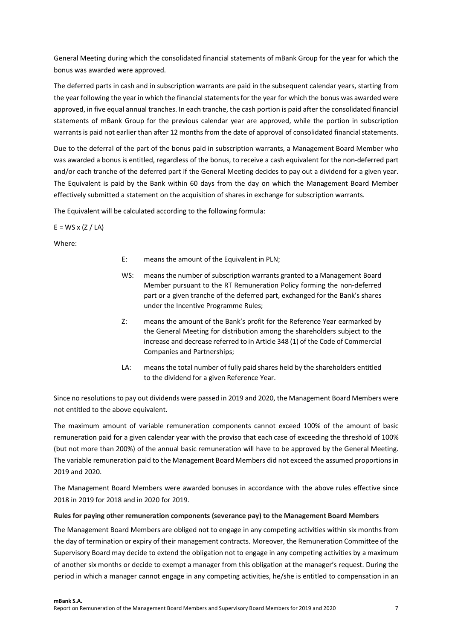General Meeting during which the consolidated financial statements of mBank Group for the year for which the bonus was awarded were approved.

The deferred parts in cash and in subscription warrants are paid in the subsequent calendar years, starting from the year following the year in which the financial statements for the year for which the bonus was awarded were approved, in five equal annual tranches. In each tranche, the cash portion is paid after the consolidated financial statements of mBank Group for the previous calendar year are approved, while the portion in subscription warrants is paid not earlier than after 12 months from the date of approval of consolidated financial statements.

Due to the deferral of the part of the bonus paid in subscription warrants, a Management Board Member who was awarded a bonus is entitled, regardless of the bonus, to receive a cash equivalent for the non-deferred part and/or each tranche of the deferred part if the General Meeting decides to pay out a dividend for a given year. The Equivalent is paid by the Bank within 60 days from the day on which the Management Board Member effectively submitted a statement on the acquisition of shares in exchange for subscription warrants.

The Equivalent will be calculated according to the following formula:

 $E = WS \times (Z / LA)$ 

Where:

- E: means the amount of the Equivalent in PLN;
- WS: means the number of subscription warrants granted to a Management Board Member pursuant to the RT Remuneration Policy forming the non-deferred part or a given tranche of the deferred part, exchanged for the Bank's shares under the Incentive Programme Rules;
- Z: means the amount of the Bank's profit for the Reference Year earmarked by the General Meeting for distribution among the shareholders subject to the increase and decrease referred to in Article 348 (1) of the Code of Commercial Companies and Partnerships;
- LA: means the total number of fully paid shares held by the shareholders entitled to the dividend for a given Reference Year.

Since no resolutions to pay out dividends were passed in 2019 and 2020, the Management Board Members were not entitled to the above equivalent.

The maximum amount of variable remuneration components cannot exceed 100% of the amount of basic remuneration paid for a given calendar year with the proviso that each case of exceeding the threshold of 100% (but not more than 200%) of the annual basic remuneration will have to be approved by the General Meeting. The variable remuneration paid to the Management Board Members did not exceed the assumed proportions in 2019 and 2020.

The Management Board Members were awarded bonuses in accordance with the above rules effective since 2018 in 2019 for 2018 and in 2020 for 2019.

### **Rules for paying other remuneration components (severance pay) to the Management Board Members**

The Management Board Members are obliged not to engage in any competing activities within six months from the day of termination or expiry of their management contracts. Moreover, the Remuneration Committee of the Supervisory Board may decide to extend the obligation not to engage in any competing activities by a maximum of another six months or decide to exempt a manager from this obligation at the manager's request. During the period in which a manager cannot engage in any competing activities, he/she is entitled to compensation in an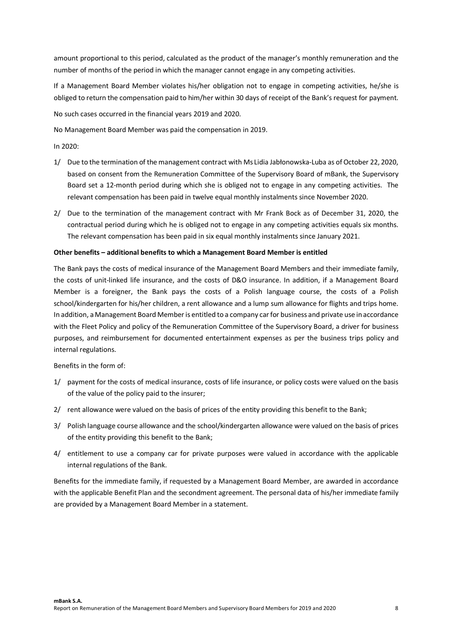amount proportional to this period, calculated as the product of the manager's monthly remuneration and the number of months of the period in which the manager cannot engage in any competing activities.

If a Management Board Member violates his/her obligation not to engage in competing activities, he/she is obliged to return the compensation paid to him/her within 30 days of receipt of the Bank's request for payment.

No such cases occurred in the financial years 2019 and 2020.

No Management Board Member was paid the compensation in 2019.

In 2020:

- 1/ Due to the termination of the management contract with Ms Lidia Jabłonowska-Luba as of October 22, 2020, based on consent from the Remuneration Committee of the Supervisory Board of mBank, the Supervisory Board set a 12-month period during which she is obliged not to engage in any competing activities. The relevant compensation has been paid in twelve equal monthly instalments since November 2020.
- 2/ Due to the termination of the management contract with Mr Frank Bock as of December 31, 2020, the contractual period during which he is obliged not to engage in any competing activities equals six months. The relevant compensation has been paid in six equal monthly instalments since January 2021.

### **Other benefits – additional benefits to which a Management Board Member is entitled**

The Bank pays the costs of medical insurance of the Management Board Members and their immediate family, the costs of unit-linked life insurance, and the costs of D&O insurance. In addition, if a Management Board Member is a foreigner, the Bank pays the costs of a Polish language course, the costs of a Polish school/kindergarten for his/her children, a rent allowance and a lump sum allowance for flights and trips home. In addition, a Management Board Member is entitled to a company car for business and private use in accordance with the Fleet Policy and policy of the Remuneration Committee of the Supervisory Board, a driver for business purposes, and reimbursement for documented entertainment expenses as per the business trips policy and internal regulations.

Benefits in the form of:

- 1/ payment for the costs of medical insurance, costs of life insurance, or policy costs were valued on the basis of the value of the policy paid to the insurer;
- 2/ rent allowance were valued on the basis of prices of the entity providing this benefit to the Bank;
- 3/ Polish language course allowance and the school/kindergarten allowance were valued on the basis of prices of the entity providing this benefit to the Bank;
- 4/ entitlement to use a company car for private purposes were valued in accordance with the applicable internal regulations of the Bank.

Benefits for the immediate family, if requested by a Management Board Member, are awarded in accordance with the applicable Benefit Plan and the secondment agreement. The personal data of his/her immediate family are provided by a Management Board Member in a statement.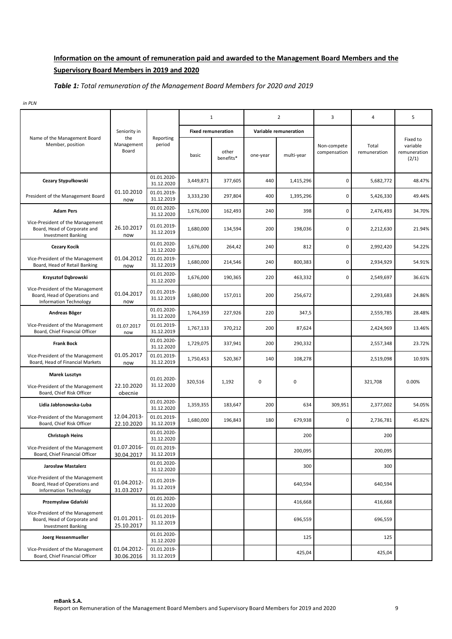# **Information on the amount of remuneration paid and awarded to the Management Board Members and the Supervisory Board Members in 2019 and 2020**

### *Table 1: Total remuneration of the Management Board Members for 2020 and 2019*

*in PLN*

|                                                                                                    |                                            |                           | $\mathbf{1}$                       |                    |          | 2                                   | 3                           | 4                     | 5                                             |
|----------------------------------------------------------------------------------------------------|--------------------------------------------|---------------------------|------------------------------------|--------------------|----------|-------------------------------------|-----------------------------|-----------------------|-----------------------------------------------|
| Name of the Management Board<br>Member, position                                                   | Seniority in<br>the<br>Management<br>Board | Reporting<br>period       | <b>Fixed remuneration</b><br>basic | other<br>benefits* | one-year | Variable remuneration<br>multi-year | Non-compete<br>compensation | Total<br>remuneration | Fixed to<br>variable<br>remuneration<br>(2/1) |
| Cezary Stypułkowski                                                                                |                                            | 01.01.2020-<br>31.12.2020 | 3,449,871                          | 377,605            | 440      | 1,415,296                           | $\mathbf 0$                 | 5,682,772             | 48.47%                                        |
| President of the Management Board                                                                  | 01.10.2010<br>now                          | 01.01.2019-<br>31.12.2019 | 3,333,230                          | 297,804            | 400      | 1,395,296                           | 0                           | 5,426,330             | 49.44%                                        |
| <b>Adam Pers</b>                                                                                   |                                            | 01.01.2020-<br>31.12.2020 | 1,676,000                          | 162,493            | 240      | 398                                 | $\pmb{0}$                   | 2,476,493             | 34.70%                                        |
| Vice-President of the Management<br>Board, Head of Corporate and<br><b>Investment Banking</b>      | 26.10.2017<br>now                          | 01.01.2019-<br>31.12.2019 | 1,680,000                          | 134,594            | 200      | 198,036                             | 0                           | 2,212,630             | 21.94%                                        |
| <b>Cezary Kocik</b>                                                                                |                                            | 01.01.2020-<br>31.12.2020 | 1,676,000                          | 264,42             | 240      | 812                                 | $\mathbf 0$                 | 2,992,420             | 54.22%                                        |
| Vice-President of the Management<br>Board, Head of Retail Banking                                  | 01.04.2012<br>now                          | 01.01.2019-<br>31.12.2019 | 1,680,000                          | 214,546            | 240      | 800,383                             | 0                           | 2,934,929             | 54.91%                                        |
| Krzysztof Dąbrowski                                                                                |                                            | 01.01.2020-<br>31.12.2020 | 1,676,000                          | 190,365            | 220      | 463,332                             | $\mathbf 0$                 | 2,549,697             | 36.61%                                        |
| Vice-President of the Management<br>Board, Head of Operations and<br>Information Technology        | 01.04.2017<br>now                          | 01.01.2019-<br>31.12.2019 | 1,680,000                          | 157,011            | 200      | 256,672                             |                             | 2,293,683             | 24.86%                                        |
| Andreas Böger                                                                                      |                                            | 01.01.2020-<br>31.12.2020 | 1,764,359                          | 227,926            | 220      | 347,5                               |                             | 2,559,785             | 28.48%                                        |
| Vice-President of the Management<br>Board, Chief Financial Officer                                 | 01.07.2017<br>now                          | 01.01.2019-<br>31.12.2019 | 1,767,133                          | 370,212            | 200      | 87,624                              |                             | 2,424,969             | 13.46%                                        |
| <b>Frank Bock</b>                                                                                  |                                            | 01.01.2020-<br>31.12.2020 | 1,729,075                          | 337,941            | 200      | 290,332                             |                             | 2,557,348             | 23.72%                                        |
| Vice-President of the Management<br>Board, Head of Financial Markets                               | 01.05.2017<br>now                          | 01.01.2019-<br>31.12.2019 | 1,750,453                          | 520,367            | 140      | 108,278                             |                             | 2,519,098             | 10.93%                                        |
| <b>Marek Lusztyn</b><br>Vice-President of the Management<br>Board, Chief Risk Officer              | 22.10.2020<br>obecnie                      | 01.01.2020-<br>31.12.2020 | 320,516                            | 1,192              | 0        | 0                                   |                             | 321,708               | 0.00%                                         |
| Lidia Jabłonowska-Luba                                                                             |                                            | 01.01.2020-<br>31.12.2020 | 1,359,355                          | 183,647            | 200      | 634                                 | 309,951                     | 2,377,002             | 54.05%                                        |
| Vice-President of the Management<br>Board, Chief Risk Officer                                      | 12.04.2013-<br>22.10.2020                  | 01.01.2019-<br>31.12.2019 | 1,680,000                          | 196,843            | 180      | 679,938                             | 0                           | 2,736,781             | 45.82%                                        |
| <b>Christoph Heins</b>                                                                             |                                            | 01.01.2020-<br>31.12.2020 |                                    |                    |          | 200                                 |                             | 200                   |                                               |
| Vice-President of the Management<br>Board, Chief Financial Officer                                 | 01.07.2016-<br>30.04.2017                  | 01.01.2019-<br>31.12.2019 |                                    |                    |          | 200,095                             |                             | 200,095               |                                               |
| <b>Jarosław Mastalerz</b>                                                                          |                                            | 01.01.2020-<br>31.12.2020 |                                    |                    |          | 300                                 |                             | 300                   |                                               |
| Vice-President of the Management<br>Board, Head of Operations and<br><b>Information Technology</b> | 01.04.2012-<br>31.03.2017                  | 01.01.2019-<br>31.12.2019 |                                    |                    |          | 640,594                             |                             | 640,594               |                                               |
| Przemysław Gdański                                                                                 |                                            | 01.01.2020-<br>31.12.2020 |                                    |                    |          | 416,668                             |                             | 416,668               |                                               |
| Vice-President of the Management<br>Board, Head of Corporate and<br><b>Investment Banking</b>      | 01.01.2011-<br>25.10.2017                  | 01.01.2019-<br>31.12.2019 |                                    |                    |          | 696,559                             |                             | 696,559               |                                               |
| Joerg Hessenmueller                                                                                |                                            | 01.01.2020-<br>31.12.2020 |                                    |                    |          | 125                                 |                             | 125                   |                                               |
| Vice-President of the Management<br>Board, Chief Financial Officer                                 | 01.04.2012-<br>30.06.2016                  | 01.01.2019-<br>31.12.2019 |                                    |                    |          | 425,04                              |                             | 425,04                |                                               |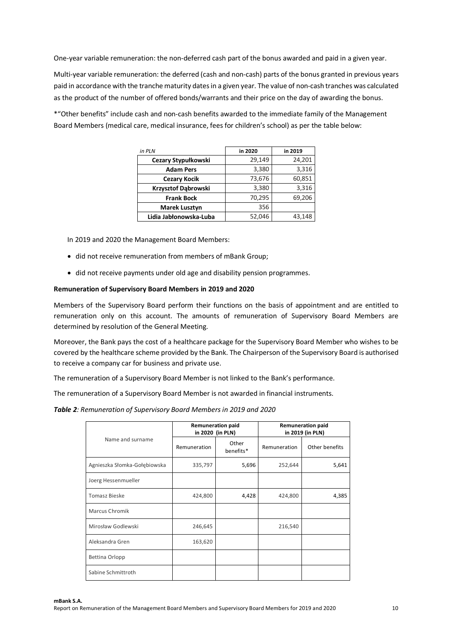One-year variable remuneration: the non-deferred cash part of the bonus awarded and paid in a given year.

Multi-year variable remuneration: the deferred (cash and non-cash) parts of the bonus granted in previous years paid in accordance with the tranche maturity dates in a given year. The value of non-cash tranches was calculated as the product of the number of offered bonds/warrants and their price on the day of awarding the bonus.

\*"Other benefits" include cash and non-cash benefits awarded to the immediate family of the Management Board Members (medical care, medical insurance, fees for children's school) as per the table below:

| in PLN                 | in 2020 | in 2019 |
|------------------------|---------|---------|
| Cezary Stypułkowski    | 29,149  | 24,201  |
| <b>Adam Pers</b>       | 3,380   | 3,316   |
| <b>Cezary Kocik</b>    | 73,676  | 60,851  |
| Krzysztof Dąbrowski    | 3,380   | 3,316   |
| <b>Frank Bock</b>      | 70,295  | 69,206  |
| <b>Marek Lusztyn</b>   | 356     |         |
| Lidia Jabłonowska-Luba | 52,046  | 43,148  |

In 2019 and 2020 the Management Board Members:

- did not receive remuneration from members of mBank Group;
- did not receive payments under old age and disability pension programmes.

### **Remuneration of Supervisory Board Members in 2019 and 2020**

Members of the Supervisory Board perform their functions on the basis of appointment and are entitled to remuneration only on this account. The amounts of remuneration of Supervisory Board Members are determined by resolution of the General Meeting.

Moreover, the Bank pays the cost of a healthcare package for the Supervisory Board Member who wishes to be covered by the healthcare scheme provided by the Bank. The Chairperson of the Supervisory Board is authorised to receive a company car for business and private use.

The remuneration of a Supervisory Board Member is not linked to the Bank's performance.

The remuneration of a Supervisory Board Member is not awarded in financial instruments.

*Table 2: Remuneration of Supervisory Board Members in 2019 and 2020*

| <b>Remuneration paid</b><br><b>Remuneration paid</b> |                  |                    |                  |                |  |  |  |  |  |
|------------------------------------------------------|------------------|--------------------|------------------|----------------|--|--|--|--|--|
|                                                      | in 2020 (in PLN) |                    | in 2019 (in PLN) |                |  |  |  |  |  |
| Name and surname                                     | Remuneration     | Other<br>benefits* | Remuneration     | Other benefits |  |  |  |  |  |
| Agnieszka Słomka-Gołębiowska                         | 335,797          | 5,696              | 252,644          | 5,641          |  |  |  |  |  |
| Joerg Hessenmueller                                  |                  |                    |                  |                |  |  |  |  |  |
| <b>Tomasz Bieske</b>                                 | 424,800          | 4,428              | 424,800          | 4,385          |  |  |  |  |  |
| <b>Marcus Chromik</b>                                |                  |                    |                  |                |  |  |  |  |  |
| Mirosław Godlewski                                   | 246,645          |                    | 216,540          |                |  |  |  |  |  |
| Aleksandra Gren                                      | 163,620          |                    |                  |                |  |  |  |  |  |
| Bettina Orlopp                                       |                  |                    |                  |                |  |  |  |  |  |
| Sabine Schmittroth                                   |                  |                    |                  |                |  |  |  |  |  |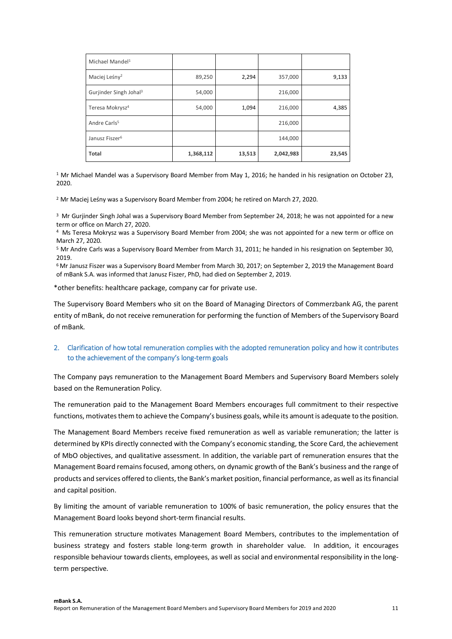| Michael Mandel <sup>1</sup>        |           |        |           |        |
|------------------------------------|-----------|--------|-----------|--------|
| Maciej Leśny <sup>2</sup>          | 89,250    | 2,294  | 357,000   | 9,133  |
| Gurjinder Singh Johal <sup>3</sup> | 54,000    |        | 216,000   |        |
| Teresa Mokrysz <sup>4</sup>        | 54,000    | 1,094  | 216,000   | 4,385  |
| Andre Carls <sup>5</sup>           |           |        | 216,000   |        |
| Janusz Fiszer <sup>6</sup>         |           |        | 144,000   |        |
| <b>Total</b>                       | 1,368,112 | 13,513 | 2,042,983 | 23,545 |

<sup>1</sup> Mr Michael Mandel was a Supervisory Board Member from May 1, 2016; he handed in his resignation on October 23, 2020.

<sup>2</sup> Mr Maciej Leśny was a Supervisory Board Member from 2004; he retired on March 27, 2020.

<sup>3</sup> Mr Gurjinder Singh Johal was a Supervisory Board Member from September 24, 2018; he was not appointed for a new term or office on March 27, 2020.

<sup>4</sup>Ms Teresa Mokrysz was a Supervisory Board Member from 2004; she was not appointed for a new term or office on March 27, 2020.

<sup>5</sup> Mr Andre Carls was a Supervisory Board Member from March 31, 2011; he handed in his resignation on September 30, 2019.

<sup>6</sup>Mr Janusz Fiszer was a Supervisory Board Member from March 30, 2017; on September 2, 2019 the Management Board of mBank S.A. was informed that Janusz Fiszer, PhD, had died on September 2, 2019.

\*other benefits: healthcare package, company car for private use.

The Supervisory Board Members who sit on the Board of Managing Directors of Commerzbank AG, the parent entity of mBank, do not receive remuneration for performing the function of Members of the Supervisory Board of mBank.

### **2. Clarification of how total remuneration complies with the adopted remuneration policy and how it contributes to the achievement of the company's long-term goals**

The Company pays remuneration to the Management Board Members and Supervisory Board Members solely based on the Remuneration Policy.

The remuneration paid to the Management Board Members encourages full commitment to their respective functions, motivates them to achieve the Company's business goals, while its amount is adequate to the position.

The Management Board Members receive fixed remuneration as well as variable remuneration; the latter is determined by KPIs directly connected with the Company's economic standing, the Score Card, the achievement of MbO objectives, and qualitative assessment. In addition, the variable part of remuneration ensures that the Management Board remains focused, among others, on dynamic growth of the Bank's business and the range of products and services offered to clients, the Bank's market position, financial performance, as well as its financial and capital position.

By limiting the amount of variable remuneration to 100% of basic remuneration, the policy ensures that the Management Board looks beyond short-term financial results.

This remuneration structure motivates Management Board Members, contributes to the implementation of business strategy and fosters stable long-term growth in shareholder value. In addition, it encourages responsible behaviour towards clients, employees, as well as social and environmental responsibility in the longterm perspective.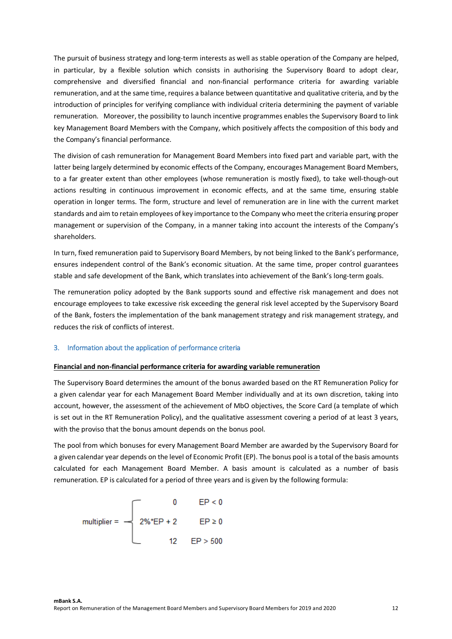The pursuit of business strategy and long-term interests as well as stable operation of the Company are helped, in particular, by a flexible solution which consists in authorising the Supervisory Board to adopt clear, comprehensive and diversified financial and non-financial performance criteria for awarding variable remuneration, and at the same time, requires a balance between quantitative and qualitative criteria, and by the introduction of principles for verifying compliance with individual criteria determining the payment of variable remuneration. Moreover, the possibility to launch incentive programmes enables the Supervisory Board to link key Management Board Members with the Company, which positively affects the composition of this body and the Company's financial performance.

The division of cash remuneration for Management Board Members into fixed part and variable part, with the latter being largely determined by economic effects of the Company, encourages Management Board Members, to a far greater extent than other employees (whose remuneration is mostly fixed), to take well-though-out actions resulting in continuous improvement in economic effects, and at the same time, ensuring stable operation in longer terms. The form, structure and level of remuneration are in line with the current market standards and aim to retain employees of key importance to the Company who meet the criteria ensuring proper management or supervision of the Company, in a manner taking into account the interests of the Company's shareholders.

In turn, fixed remuneration paid to Supervisory Board Members, by not being linked to the Bank's performance, ensures independent control of the Bank's economic situation. At the same time, proper control guarantees stable and safe development of the Bank, which translates into achievement of the Bank's long-term goals.

The remuneration policy adopted by the Bank supports sound and effective risk management and does not encourage employees to take excessive risk exceeding the general risk level accepted by the Supervisory Board of the Bank, fosters the implementation of the bank management strategy and risk management strategy, and reduces the risk of conflicts of interest.

#### **3. Information about the application of performance criteria**

#### **Financial and non-financial performance criteria for awarding variable remuneration**

The Supervisory Board determines the amount of the bonus awarded based on the RT Remuneration Policy for a given calendar year for each Management Board Member individually and at its own discretion, taking into account, however, the assessment of the achievement of MbO objectives, the Score Card (a template of which is set out in the RT Remuneration Policy), and the qualitative assessment covering a period of at least 3 years, with the proviso that the bonus amount depends on the bonus pool.

The pool from which bonuses for every Management Board Member are awarded by the Supervisory Board for a given calendar year depends on the level of Economic Profit (EP). The bonus pool is a total of the basis amounts calculated for each Management Board Member. A basis amount is calculated as a number of basis remuneration. EP is calculated for a period of three years and is given by the following formula:

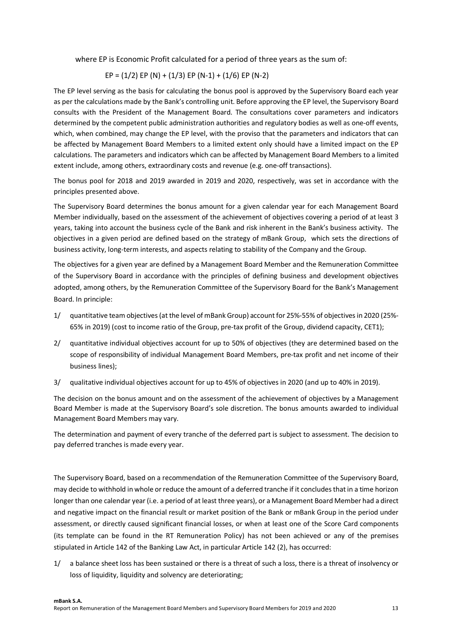where EP is Economic Profit calculated for a period of three years as the sum of:

$$
EP = (1/2) EP (N) + (1/3) EP (N-1) + (1/6) EP (N-2)
$$

The EP level serving as the basis for calculating the bonus pool is approved by the Supervisory Board each year as per the calculations made by the Bank's controlling unit. Before approving the EP level, the Supervisory Board consults with the President of the Management Board. The consultations cover parameters and indicators determined by the competent public administration authorities and regulatory bodies as well as one-off events, which, when combined, may change the EP level, with the proviso that the parameters and indicators that can be affected by Management Board Members to a limited extent only should have a limited impact on the EP calculations. The parameters and indicators which can be affected by Management Board Members to a limited extent include, among others, extraordinary costs and revenue (e.g. one-off transactions).

The bonus pool for 2018 and 2019 awarded in 2019 and 2020, respectively, was set in accordance with the principles presented above.

The Supervisory Board determines the bonus amount for a given calendar year for each Management Board Member individually, based on the assessment of the achievement of objectives covering a period of at least 3 years, taking into account the business cycle of the Bank and risk inherent in the Bank's business activity. The objectives in a given period are defined based on the strategy of mBank Group, which sets the directions of business activity, long-term interests, and aspects relating to stability of the Company and the Group.

The objectives for a given year are defined by a Management Board Member and the Remuneration Committee of the Supervisory Board in accordance with the principles of defining business and development objectives adopted, among others, by the Remuneration Committee of the Supervisory Board for the Bank's Management Board. In principle:

- 1/ quantitative team objectives (at the level of mBank Group) account for 25%-55% of objectives in 2020 (25%- 65% in 2019) (cost to income ratio of the Group, pre-tax profit of the Group, dividend capacity, CET1);
- 2/ quantitative individual objectives account for up to 50% of objectives (they are determined based on the scope of responsibility of individual Management Board Members, pre-tax profit and net income of their business lines);
- 3/ qualitative individual objectives account for up to 45% of objectives in 2020 (and up to 40% in 2019).

The decision on the bonus amount and on the assessment of the achievement of objectives by a Management Board Member is made at the Supervisory Board's sole discretion. The bonus amounts awarded to individual Management Board Members may vary.

The determination and payment of every tranche of the deferred part is subject to assessment. The decision to pay deferred tranches is made every year.

The Supervisory Board, based on a recommendation of the Remuneration Committee of the Supervisory Board, may decide to withhold in whole or reduce the amount of a deferred tranche if it concludes that in a time horizon longer than one calendar year (i.e. a period of at least three years), or a Management Board Member had a direct and negative impact on the financial result or market position of the Bank or mBank Group in the period under assessment, or directly caused significant financial losses, or when at least one of the Score Card components (its template can be found in the RT Remuneration Policy) has not been achieved or any of the premises stipulated in Article 142 of the Banking Law Act, in particular Article 142 (2), has occurred:

1/ a balance sheet loss has been sustained or there is a threat of such a loss, there is a threat of insolvency or loss of liquidity, liquidity and solvency are deteriorating;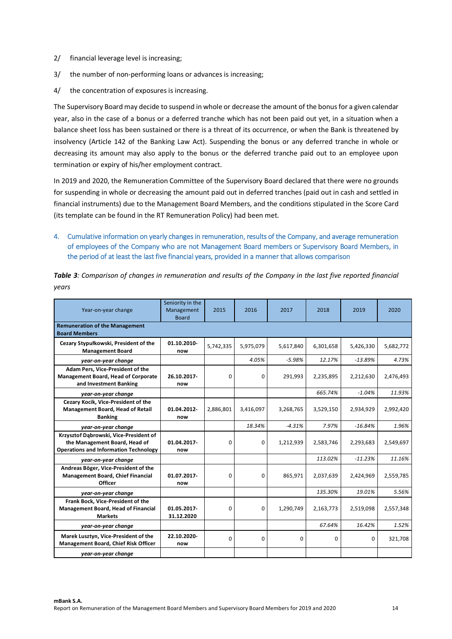- 2/ financial leverage level is increasing;
- 3/ the number of non-performing loans or advances is increasing;
- 4/ the concentration of exposures is increasing.

The Supervisory Board may decide to suspend in whole or decrease the amount of the bonus for a given calendar year, also in the case of a bonus or a deferred tranche which has not been paid out yet, in a situation when a balance sheet loss has been sustained or there is a threat of its occurrence, or when the Bank is threatened by insolvency (Article 142 of the Banking Law Act). Suspending the bonus or any deferred tranche in whole or decreasing its amount may also apply to the bonus or the deferred tranche paid out to an employee upon termination or expiry of his/her employment contract.

In 2019 and 2020, the Remuneration Committee of the Supervisory Board declared that there were no grounds for suspending in whole or decreasing the amount paid out in deferred tranches (paid out in cash and settled in financial instruments) due to the Management Board Members, and the conditions stipulated in the Score Card (its template can be found in the RT Remuneration Policy) had been met.

**4. Cumulative information on yearly changes in remuneration, results of the Company, and average remuneration of employees of the Company who are not Management Board members or Supervisory Board Members, in the period of at least the last five financial years, provided in a manner that allows comparison** 

| Year-on-year change                                                                                                     | Seniority in the<br>Management<br><b>Board</b> | 2015        | 2016      | 2017        | 2018      | 2019      | 2020      |
|-------------------------------------------------------------------------------------------------------------------------|------------------------------------------------|-------------|-----------|-------------|-----------|-----------|-----------|
| <b>Remuneration of the Management</b><br><b>Board Members</b>                                                           |                                                |             |           |             |           |           |           |
| Cezary Stypułkowski, President of the<br><b>Management Board</b>                                                        | 01.10.2010-<br>now                             | 5,742,335   | 5,975,079 | 5,617,840   | 6,301,658 | 5,426,330 | 5,682,772 |
| year-on-year change                                                                                                     |                                                |             | 4.05%     | $-5.98%$    | 12.17%    | $-13.89%$ | 4.73%     |
| Adam Pers, Vice-President of the<br>Management Board, Head of Corporate<br>and Investment Banking                       | 26.10.2017-<br>now                             | $\Omega$    | 0         | 291,993     | 2,235,895 | 2,212,630 | 2,476,493 |
| year-on-year change                                                                                                     |                                                |             |           |             | 665.74%   | $-1.04%$  | 11.93%    |
| Cezary Kocik, Vice-President of the<br><b>Management Board, Head of Retail</b><br><b>Banking</b>                        | 01.04.2012-<br>now                             | 2,886,801   | 3,416,097 | 3,268,765   | 3,529,150 | 2,934,929 | 2,992,420 |
| year-on-year change                                                                                                     |                                                |             | 18.34%    | $-4.31%$    | 7.97%     | $-16.84%$ | 1.96%     |
| Krzysztof Dąbrowski, Vice-President of<br>the Management Board, Head of<br><b>Operations and Information Technology</b> | 01.04.2017-<br>now                             | 0           | 0         | 1,212,939   | 2,583,746 | 2,293,683 | 2,549,697 |
| year-on-year change                                                                                                     |                                                |             |           |             | 113.02%   | $-11.23%$ | 11.16%    |
| Andreas Böger, Vice-President of the<br><b>Management Board, Chief Financial</b><br><b>Officer</b>                      | 01.07.2017-<br>now                             | 0           | 0         | 865,971     | 2,037,639 | 2,424,969 | 2,559,785 |
| year-on-year change                                                                                                     |                                                |             |           |             | 135.30%   | 19.01%    | 5.56%     |
| Frank Bock, Vice-President of the<br>Management Board, Head of Financial<br><b>Markets</b>                              | 01.05.2017-<br>31.12.2020                      | $\Omega$    | 0         | 1,290,749   | 2,163,773 | 2,519,098 | 2,557,348 |
| year-on-year change                                                                                                     |                                                |             |           |             | 67.64%    | 16.42%    | 1.52%     |
| Marek Lusztyn, Vice-President of the<br>Management Board, Chief Risk Officer                                            | 22.10.2020-<br>now                             | $\mathbf 0$ | 0         | $\mathbf 0$ | 0         | 0         | 321,708   |
| year-on-year change                                                                                                     |                                                |             |           |             |           |           |           |

*Table 3: Comparison of changes in remuneration and results of the Company in the last five reported financial years*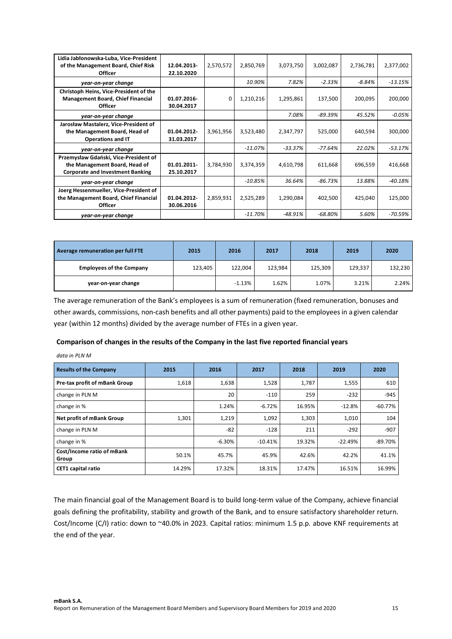| Lidia Jabłonowska-Luba, Vice-President<br>of the Management Board, Chief Risk<br><b>Officer</b>                   | 12.04.2013<br>22.10.2020  | 2,570,572    | 2,850,769 | 3,073,750 | 3,002,087 | 2,736,781 | 2,377,002 |
|-------------------------------------------------------------------------------------------------------------------|---------------------------|--------------|-----------|-----------|-----------|-----------|-----------|
| year-on-year change                                                                                               |                           |              | 10.90%    | 7.82%     | $-2.33\%$ | $-8.84\%$ | $-13.15%$ |
| Christoph Heins, Vice-President of the<br><b>Management Board, Chief Financial</b><br><b>Officer</b>              | 01.07.2016<br>30.04.2017  | <sup>0</sup> | 1,210,216 | 1,295,861 | 137,500   | 200,095   | 200,000   |
| year-on-year change                                                                                               |                           |              |           | 7.08%     | -89.39%   | 45.52%    | $-0.05%$  |
| Jarosław Mastalerz, Vice-President of<br>the Management Board, Head of<br><b>Operations and IT</b>                | 01.04.2012-<br>31.03.2017 | 3,961,956    | 3,523,480 | 2,347,797 | 525,000   | 640,594   | 300,000   |
| year-on-year change                                                                                               |                           |              | -11.07%   | $-33.37%$ | -77.64%   | 22.02%    | $-53.17%$ |
| Przemysław Gdański, Vice-President of<br>the Management Board, Head of<br><b>Corporate and Investment Banking</b> | 01.01.2011<br>25.10.2017  | 3,784,930    | 3,374,359 | 4,610,798 | 611,668   | 696,559   | 416,668   |
| year-on-year change                                                                                               |                           |              | -10.85%   | 36.64%    | -86.73%   | 13.88%    | $-40.18%$ |
| Joerg Hessenmueller, Vice-President of<br>the Management Board, Chief Financial<br><b>Officer</b>                 | 01.04.2012<br>30.06.2016  | 2,859,931    | 2,525,289 | 1,290,084 | 402,500   | 425,040   | 125,000   |
| year-on-year change                                                                                               |                           |              | -11.70%   | -48.91%   | -68.80%   | 5.60%     | -70.59%   |

| Average remuneration per full FTE | 2015    | 2016     | 2017    | 2018    | 2019    | 2020    |
|-----------------------------------|---------|----------|---------|---------|---------|---------|
| <b>Employees of the Company</b>   | 123,405 | 122,004  | 123.984 | 125,309 | 129,337 | 132,230 |
| year-on-year change               |         | $-1.13%$ | 1.62%   | 1.07%   | 3.21%   | 2.24%   |

The average remuneration of the Bank's employees is a sum of remuneration (fixed remuneration, bonuses and other awards, commissions, non-cash benefits and all other payments) paid to the employees in a given calendar year (within 12 months) divided by the average number of FTEs in a given year.

### **Comparison of changes in the results of the Company in the last five reported financial years**

*data in PLN M* 

| <b>Results of the Company</b>       | 2015   | 2016     | 2017      | 2018   | 2019      | 2020      |
|-------------------------------------|--------|----------|-----------|--------|-----------|-----------|
| Pre-tax profit of mBank Group       | 1,618  | 1,638    | 1,528     | 1,787  | 1,555     | 610       |
| change in PLN M                     |        | 20       | $-110$    | 259    | $-232$    | $-945$    |
| change in %                         |        | 1.24%    | $-6.72%$  | 16.95% | $-12.8%$  | $-60.77%$ |
| Net profit of mBank Group           | 1,301  | 1,219    | 1,092     | 1,303  | 1,010     | 104       |
| change in PLN M                     |        | $-82$    | $-128$    | 211    | $-292$    | $-907$    |
| change in %                         |        | $-6.30%$ | $-10.41%$ | 19.32% | $-22.49%$ | $-89.70%$ |
| Cost/Income ratio of mBank<br>Group | 50.1%  | 45.7%    | 45.9%     | 42.6%  | 42.2%     | 41.1%     |
| <b>CET1</b> capital ratio           | 14.29% | 17.32%   | 18.31%    | 17.47% | 16.51%    | 16.99%    |

The main financial goal of the Management Board is to build long-term value of the Company, achieve financial goals defining the profitability, stability and growth of the Bank, and to ensure satisfactory shareholder return. Cost/Income (C/I) ratio: down to ~40.0% in 2023. Capital ratios: minimum 1.5 p.p. above KNF requirements at the end of the year.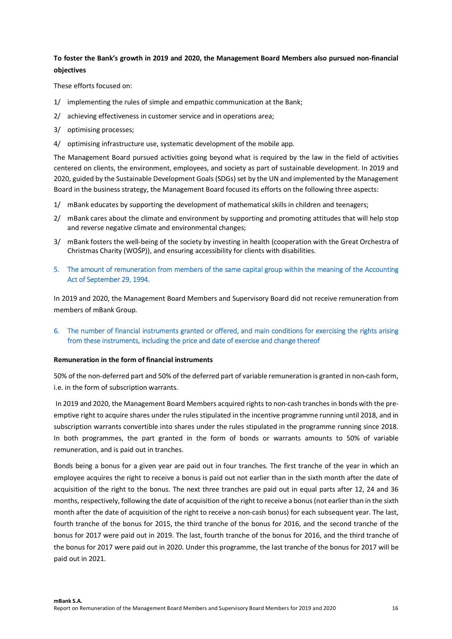### **To foster the Bank's growth in 2019 and 2020, the Management Board Members also pursued non-financial objectives**

These efforts focused on:

- 1/ implementing the rules of simple and empathic communication at the Bank;
- 2/ achieving effectiveness in customer service and in operations area;
- 3/ optimising processes;
- 4/ optimising infrastructure use, systematic development of the mobile app.

The Management Board pursued activities going beyond what is required by the law in the field of activities centered on clients, the environment, employees, and society as part of sustainable development. In 2019 and 2020, guided by the Sustainable Development Goals (SDGs) set by the UN and implemented by the Management Board in the business strategy, the Management Board focused its efforts on the following three aspects:

- 1/ mBank educates by supporting the development of mathematical skills in children and teenagers;
- 2/ mBank cares about the climate and environment by supporting and promoting attitudes that will help stop and reverse negative climate and environmental changes;
- 3/ mBank fosters the well-being of the society by investing in health (cooperation with the Great Orchestra of Christmas Charity (WOŚP)), and ensuring accessibility for clients with disabilities.
- **5. The amount of remuneration from members of the same capital group within the meaning of the Accounting Act of September 29, 1994.**

In 2019 and 2020, the Management Board Members and Supervisory Board did not receive remuneration from members of mBank Group.

**6. The number of financial instruments granted or offered, and main conditions for exercising the rights arising from these instruments, including the price and date of exercise and change thereof** 

#### **Remuneration in the form of financial instruments**

50% of the non-deferred part and 50% of the deferred part of variable remuneration is granted in non-cash form, i.e. in the form of subscription warrants.

In 2019 and 2020, the Management Board Members acquired rights to non-cash tranches in bonds with the preemptive right to acquire shares under the rules stipulated in the incentive programme running until 2018, and in subscription warrants convertible into shares under the rules stipulated in the programme running since 2018. In both programmes, the part granted in the form of bonds or warrants amounts to 50% of variable remuneration, and is paid out in tranches.

Bonds being a bonus for a given year are paid out in four tranches. The first tranche of the year in which an employee acquires the right to receive a bonus is paid out not earlier than in the sixth month after the date of acquisition of the right to the bonus. The next three tranches are paid out in equal parts after 12, 24 and 36 months, respectively, following the date of acquisition of the right to receive a bonus (not earlier than in the sixth month after the date of acquisition of the right to receive a non-cash bonus) for each subsequent year. The last, fourth tranche of the bonus for 2015, the third tranche of the bonus for 2016, and the second tranche of the bonus for 2017 were paid out in 2019. The last, fourth tranche of the bonus for 2016, and the third tranche of the bonus for 2017 were paid out in 2020. Under this programme, the last tranche of the bonus for 2017 will be paid out in 2021.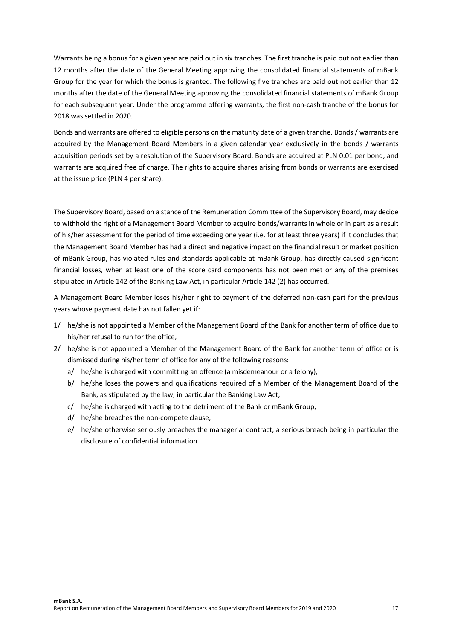Warrants being a bonus for a given year are paid out in six tranches. The first tranche is paid out not earlier than 12 months after the date of the General Meeting approving the consolidated financial statements of mBank Group for the year for which the bonus is granted. The following five tranches are paid out not earlier than 12 months after the date of the General Meeting approving the consolidated financial statements of mBank Group for each subsequent year. Under the programme offering warrants, the first non-cash tranche of the bonus for 2018 was settled in 2020.

Bonds and warrants are offered to eligible persons on the maturity date of a given tranche. Bonds / warrants are acquired by the Management Board Members in a given calendar year exclusively in the bonds / warrants acquisition periods set by a resolution of the Supervisory Board. Bonds are acquired at PLN 0.01 per bond, and warrants are acquired free of charge. The rights to acquire shares arising from bonds or warrants are exercised at the issue price (PLN 4 per share).

The Supervisory Board, based on a stance of the Remuneration Committee of the Supervisory Board, may decide to withhold the right of a Management Board Member to acquire bonds/warrants in whole or in part as a result of his/her assessment for the period of time exceeding one year (i.e. for at least three years) if it concludes that the Management Board Member has had a direct and negative impact on the financial result or market position of mBank Group, has violated rules and standards applicable at mBank Group, has directly caused significant financial losses, when at least one of the score card components has not been met or any of the premises stipulated in Article 142 of the Banking Law Act, in particular Article 142 (2) has occurred.

A Management Board Member loses his/her right to payment of the deferred non-cash part for the previous years whose payment date has not fallen yet if:

- 1/ he/she is not appointed a Member of the Management Board of the Bank for another term of office due to his/her refusal to run for the office,
- 2/ he/she is not appointed a Member of the Management Board of the Bank for another term of office or is dismissed during his/her term of office for any of the following reasons:
	- a/ he/she is charged with committing an offence (a misdemeanour or a felony),
	- b/ he/she loses the powers and qualifications required of a Member of the Management Board of the Bank, as stipulated by the law, in particular the Banking Law Act,
	- c/ he/she is charged with acting to the detriment of the Bank or mBank Group,
	- d/ he/she breaches the non-compete clause,
	- e/ he/she otherwise seriously breaches the managerial contract, a serious breach being in particular the disclosure of confidential information.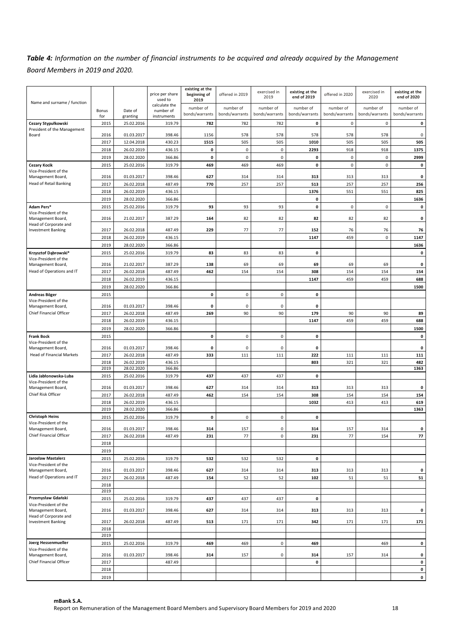# *Table 4: Information on the number of financial instruments to be acquired and already acquired by the Management Board Members in 2019 and 2020.*

|                                            |              |                          | price per share  | existing at the<br>beginning of | offered in 2019 | exercised in   | existing at the    | offered in 2020     | exercised in   | existing at the |
|--------------------------------------------|--------------|--------------------------|------------------|---------------------------------|-----------------|----------------|--------------------|---------------------|----------------|-----------------|
|                                            |              |                          | used to          | 2019                            |                 | 2019           | end of 2019        |                     | 2020           | end of 2020     |
| Name and surname / function                |              |                          | calculate the    |                                 |                 |                |                    |                     |                |                 |
|                                            | Bonus        | Date of                  | number of        | number of                       | number of       | number of      | number of          | number of           | number of      | number of       |
|                                            | for          | granting                 | instruments      | bonds/warrants                  | bonds/warrants  | bonds/warrants | bonds/warrants     | bonds/warrants      | bonds/warrants | bonds/warrants  |
| Cezary Stypułkowski                        | 2015         | 25.02.2016               | 319.79           | 782                             | 782             | 782            | 0                  | $\mathsf{O}\xspace$ | 0              | 0               |
| President of the Management                |              |                          |                  |                                 |                 |                |                    |                     |                |                 |
| Board                                      | 2016         | 01.03.2017               | 398.46           | 1156                            | 578             | 578            | 578                | 578                 | 578            | 0               |
|                                            | 2017         | 12.04.2018               | 430.23           | 1515                            | 505             | 505            | 1010               | 505                 | 505            | 505             |
|                                            | 2018         | 26.02.2019               | 436.15           | 0                               | 0               | $\mathbf 0$    | 2293               | 918                 | 918            | 1375            |
|                                            | 2019         | 28.02.2020               | 366.86           | 0                               | $\mathsf 0$     | $\pmb{0}$      | $\pmb{\mathsf{o}}$ | $\mathsf 0$         | $\mathsf 0$    | 2999            |
|                                            |              |                          |                  |                                 |                 |                |                    |                     |                |                 |
| <b>Cezary Kocik</b>                        | 2015         | 25.02.2016               | 319.79           | 469                             | 469             | 469            | 0                  | $\mathsf 0$         | $\mathbf 0$    | 0               |
| Vice-President of the                      |              |                          |                  |                                 |                 |                |                    |                     |                |                 |
| Management Board,                          | 2016         | 01.03.2017               | 398.46           | 627                             | 314             | 314            | 313                | 313                 | 313            | 0               |
| <b>Head of Retail Banking</b>              | 2017         | 26.02.2018               | 487.49           | 770                             | 257             | 257            | 513                | 257                 | 257            | 256             |
|                                            | 2018         | 26.02.2019               | 436.15           |                                 |                 |                | 1376               | 551                 | 551            | 825             |
|                                            | 2019         | 28.02.2020               | 366.86           |                                 |                 |                | 0                  |                     |                | 1636            |
| Adam Pers*                                 | 2015         | 25.02.2016               | 319.79           | 93                              | 93              | 93             | 0                  | 0                   | $\mathsf 0$    | 0               |
| Vice-President of the                      |              |                          |                  |                                 |                 |                |                    |                     |                |                 |
| Management Board,                          | 2016         | 21.02.2017               | 387.29           | 164                             | 82              | 82             | 82                 | 82                  | 82             | 0               |
| Head of Corporate and                      |              |                          |                  |                                 |                 |                |                    |                     |                |                 |
| <b>Investment Banking</b>                  | 2017         | 26.02.2018               | 487.49           | 229                             | 77              | 77             | 152                | 76                  | 76             | 76              |
|                                            | 2018         | 26.02.2019               | 436.15           |                                 |                 |                | 1147               | 459                 | $\mathsf 0$    | 1147            |
|                                            | 2019         | 28.02.2020               | 366.86           |                                 |                 |                |                    |                     |                | 1636            |
|                                            |              |                          |                  |                                 |                 |                |                    |                     |                |                 |
| Krzysztof Dąbrowski*                       | 2015         | 25.02.2016               | 319.79           | 83                              | 83              | 83             | 0                  |                     |                | 0               |
| Vice-President of the<br>Management Board, | 2016         | 21.02.2017               | 387.29           | 138                             | 69              | 69             | 69                 | 69                  | 69             | 0               |
| Head of Operations and IT                  | 2017         | 26.02.2018               | 487.49           | 462                             | 154             | 154            | 308                | 154                 | 154            | 154             |
|                                            |              |                          |                  |                                 |                 |                |                    |                     |                |                 |
|                                            | 2018         | 26.02.2019               | 436.15           |                                 |                 |                | 1147               | 459                 | 459            | 688             |
|                                            | 2019         | 28.02.2020               | 366.86           |                                 |                 |                |                    |                     |                | 1500            |
| Andreas Böger                              | 2015         |                          |                  | $\pmb{\mathsf{o}}$              | $\pmb{0}$       | $\pmb{0}$      | $\mathbf 0$        |                     |                |                 |
| Vice-President of the                      |              |                          |                  |                                 |                 |                |                    |                     |                |                 |
| Management Board,                          | 2016         | 01.03.2017               | 398.46           | 0                               | 0               | 0              | 0                  |                     |                |                 |
| Chief Financial Officer                    | 2017         | 26.02.2018               | 487.49           | 269                             | 90              | 90             | 179                | 90                  | 90             | 89              |
|                                            | 2018         | 26.02.2019               | 436.15           |                                 |                 |                | 1147               | 459                 | 459            | 688             |
|                                            | 2019         | 28.02.2020               | 366.86           |                                 |                 |                |                    |                     |                | 1500            |
| <b>Frank Bock</b>                          | 2015         |                          |                  | 0                               | 0               | $\mathbf 0$    | 0                  |                     |                | 0               |
| Vice-President of the                      |              |                          |                  |                                 |                 |                |                    |                     |                |                 |
| Management Board,                          | 2016         | 01.03.2017               | 398.46           | 0                               | 0               | $\mathbf 0$    | 0                  |                     |                | 0               |
| <b>Head of Financial Markets</b>           | 2017         | 26.02.2018               | 487.49           | 333                             | 111             | 111            | 222                | 111                 | 111            | 111             |
|                                            |              |                          |                  |                                 |                 |                |                    |                     |                |                 |
|                                            | 2018<br>2019 | 26.02.2019<br>28.02.2020 | 436.15<br>366.86 |                                 |                 |                | 803                | 321                 | 321            | 482<br>1363     |
|                                            |              |                          |                  |                                 |                 |                |                    |                     |                |                 |
| Lidia Jabłonowska-Luba                     | 2015         | 25.02.2016               | 319.79           | 437                             | 437             | 437            | 0                  |                     |                |                 |
| Vice-President of the<br>Management Board, | 2016         | 01.03.2017               | 398.46           | 627                             | 314             | 314            | 313                | 313                 | 313            | 0               |
| Chief Risk Officer                         |              |                          |                  |                                 |                 |                |                    |                     |                |                 |
|                                            | 2017         | 26.02.2018               | 487.49           | 462                             | 154             | 154            | 308                | 154                 | 154            | 154             |
|                                            | 2018         | 26.02.2019               | 436.15           |                                 |                 |                | 1032               | 413                 | 413            | 619             |
|                                            | 2019         | 28.02.2020               | 366.86           |                                 |                 |                |                    |                     |                | 1363            |
| <b>Christoph Heins</b>                     | 2015         | 25.02.2016               | 319.79           | $\mathbf 0$                     | 0               | $\mathbf 0$    | 0                  |                     |                |                 |
| Vice-President of the                      |              |                          |                  |                                 |                 |                |                    |                     |                |                 |
| Management Board,                          | 2016         | 01.03.2017               | 398.46           | 314                             | 157             | $\mathsf 0$    | 314                | 157                 | 314            | 0               |
| Chief Financial Officer                    | 2017         | 26.02.2018               | 487.49           | 231                             | 77              | 0              | 231                | 77                  | 154            | 77              |
|                                            | 2018         |                          |                  |                                 |                 |                |                    |                     |                |                 |
|                                            | 2019         |                          |                  |                                 |                 |                |                    |                     |                |                 |
| Jarosław Mastalerz                         | 2015         | 25.02.2016               | 319.79           | 532                             | 532             | 532            | $\mathbf 0$        |                     |                |                 |
| Vice-President of the                      |              |                          |                  |                                 |                 |                |                    |                     |                |                 |
| Management Board,                          | 2016         | 01.03.2017               | 398.46           | 627                             | 314             | 314            | 313                | 313                 | 313            | 0               |
| Head of Operations and IT                  | 2017         | 26.02.2018               | 487.49           | 154                             | 52              | 52             | 102                | 51                  | 51             | 51              |
|                                            | 2018         |                          |                  |                                 |                 |                |                    |                     |                |                 |
|                                            | 2019         |                          |                  |                                 |                 |                |                    |                     |                |                 |
| Przemysław Gdański                         | 2015         | 25.02.2016               | 319.79           | 437                             | 437             | 437            | $\mathbf 0$        |                     |                |                 |
| Vice-President of the                      |              |                          |                  |                                 |                 |                |                    |                     |                |                 |
| Management Board,                          | 2016         | 01.03.2017               | 398.46           | 627                             | 314             | 314            | 313                | 313                 | 313            | 0               |
| Head of Corporate and                      |              |                          |                  |                                 |                 |                |                    |                     |                |                 |
| <b>Investment Banking</b>                  | 2017         | 26.02.2018               | 487.49           | 513                             | 171             | 171            | 342                | 171                 | 171            | 171             |
|                                            | 2018         |                          |                  |                                 |                 |                |                    |                     |                |                 |
|                                            | 2019         |                          |                  |                                 |                 |                |                    |                     |                |                 |
| Joerg Hessenmueller                        | 2015         | 25.02.2016               | 319.79           | 469                             | 469             | 0              | 469                |                     | 469            | 0               |
| Vice-President of the                      |              |                          |                  |                                 |                 |                |                    |                     |                |                 |
| Management Board,                          | 2016         | 01.03.2017               | 398.46           | 314                             | 157             | 0              | 314                | 157                 | 314            | 0               |
| Chief Financial Officer                    | 2017         |                          | 487.49           |                                 |                 |                | $\mathbf 0$        |                     |                | 0               |
|                                            | 2018         |                          |                  |                                 |                 |                |                    |                     |                | 0               |
|                                            | 2019         |                          |                  |                                 |                 |                |                    |                     |                | $\mathbf 0$     |
|                                            |              |                          |                  |                                 |                 |                |                    |                     |                |                 |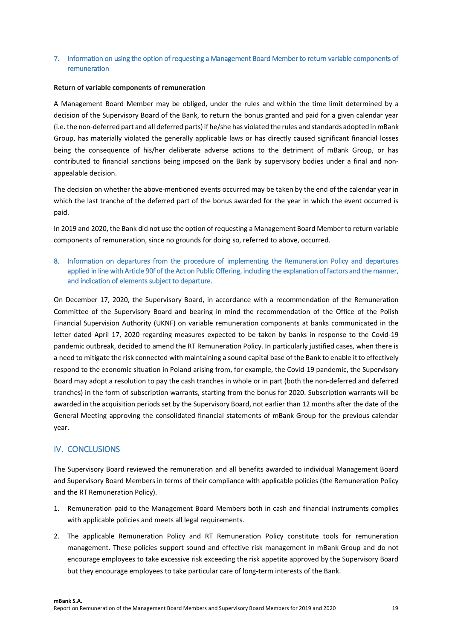### **7. Information on using the option of requesting a Management Board Member to return variable components of remuneration**

#### **Return of variable components of remuneration**

A Management Board Member may be obliged, under the rules and within the time limit determined by a decision of the Supervisory Board of the Bank, to return the bonus granted and paid for a given calendar year (i.e. the non-deferred part and all deferred parts) if he/she has violated the rules and standards adopted in mBank Group, has materially violated the generally applicable laws or has directly caused significant financial losses being the consequence of his/her deliberate adverse actions to the detriment of mBank Group, or has contributed to financial sanctions being imposed on the Bank by supervisory bodies under a final and nonappealable decision.

The decision on whether the above-mentioned events occurred may be taken by the end of the calendar year in which the last tranche of the deferred part of the bonus awarded for the year in which the event occurred is paid.

In 2019 and 2020, the Bank did not use the option of requesting a Management Board Member to return variable components of remuneration, since no grounds for doing so, referred to above, occurred.

### **8. Information on departures from the procedure of implementing the Remuneration Policy and departures applied in line with Article 90f of the Act on Public Offering, including the explanation of factors and the manner, and indication of elements subject to departure.**

On December 17, 2020, the Supervisory Board, in accordance with a recommendation of the Remuneration Committee of the Supervisory Board and bearing in mind the recommendation of the Office of the Polish Financial Supervision Authority (UKNF) on variable remuneration components at banks communicated in the letter dated April 17, 2020 regarding measures expected to be taken by banks in response to the Covid-19 pandemic outbreak, decided to amend the RT Remuneration Policy. In particularly justified cases, when there is a need to mitigate the risk connected with maintaining a sound capital base of the Bank to enable it to effectively respond to the economic situation in Poland arising from, for example, the Covid-19 pandemic, the Supervisory Board may adopt a resolution to pay the cash tranches in whole or in part (both the non-deferred and deferred tranches) in the form of subscription warrants, starting from the bonus for 2020. Subscription warrants will be awarded in the acquisition periods set by the Supervisory Board, not earlier than 12 months after the date of the General Meeting approving the consolidated financial statements of mBank Group for the previous calendar year.

# **IV. CONCLUSIONS**

The Supervisory Board reviewed the remuneration and all benefits awarded to individual Management Board and Supervisory Board Members in terms of their compliance with applicable policies (the Remuneration Policy and the RT Remuneration Policy).

- 1. Remuneration paid to the Management Board Members both in cash and financial instruments complies with applicable policies and meets all legal requirements.
- 2. The applicable Remuneration Policy and RT Remuneration Policy constitute tools for remuneration management. These policies support sound and effective risk management in mBank Group and do not encourage employees to take excessive risk exceeding the risk appetite approved by the Supervisory Board but they encourage employees to take particular care of long-term interests of the Bank.